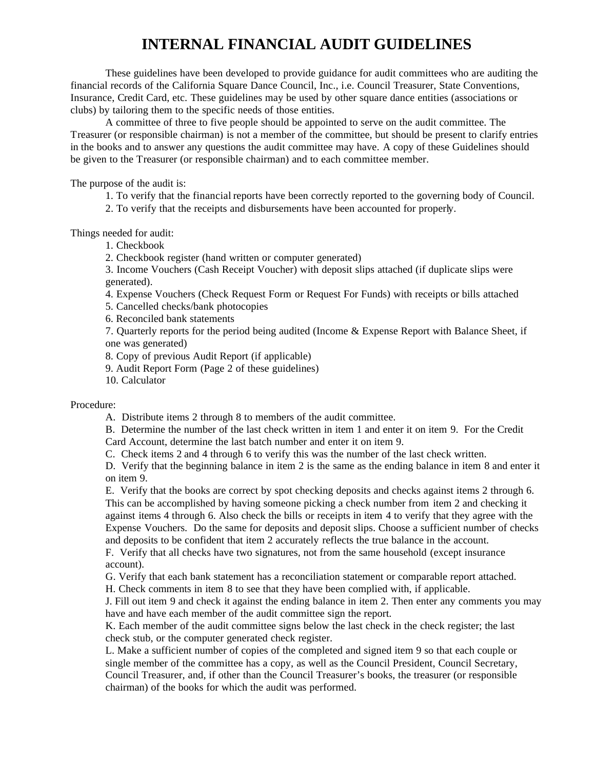## **INTERNAL FINANCIAL AUDIT GUIDELINES**

These guidelines have been developed to provide guidance for audit committees who are auditing the financial records of the California Square Dance Council, Inc., i.e. Council Treasurer, State Conventions, Insurance, Credit Card, etc. These guidelines may be used by other square dance entities (associations or clubs) by tailoring them to the specific needs of those entities.

A committee of three to five people should be appointed to serve on the audit committee. The Treasurer (or responsible chairman) is not a member of the committee, but should be present to clarify entries in the books and to answer any questions the audit committee may have. A copy of these Guidelines should be given to the Treasurer (or responsible chairman) and to each committee member.

The purpose of the audit is:

- 1. To verify that the financial reports have been correctly reported to the governing body of Council.
- 2. To verify that the receipts and disbursements have been accounted for properly.

Things needed for audit:

1. Checkbook

2. Checkbook register (hand written or computer generated)

3. Income Vouchers (Cash Receipt Voucher) with deposit slips attached (if duplicate slips were generated).

4. Expense Vouchers (Check Request Form or Request For Funds) with receipts or bills attached

5. Cancelled checks/bank photocopies

6. Reconciled bank statements

7. Quarterly reports for the period being audited (Income & Expense Report with Balance Sheet, if one was generated)

8. Copy of previous Audit Report (if applicable)

9. Audit Report Form (Page 2 of these guidelines)

10. Calculator

Procedure:

A. Distribute items 2 through 8 to members of the audit committee.

B. Determine the number of the last check written in item 1 and enter it on item 9. For the Credit Card Account, determine the last batch number and enter it on item 9.

C. Check items 2 and 4 through 6 to verify this was the number of the last check written.

D. Verify that the beginning balance in item 2 is the same as the ending balance in item 8 and enter it on item 9.

E. Verify that the books are correct by spot checking deposits and checks against items 2 through 6. This can be accomplished by having someone picking a check number from item 2 and checking it against items 4 through 6. Also check the bills or receipts in item 4 to verify that they agree with the Expense Vouchers. Do the same for deposits and deposit slips. Choose a sufficient number of checks and deposits to be confident that item 2 accurately reflects the true balance in the account.

F. Verify that all checks have two signatures, not from the same household (except insurance account).

G. Verify that each bank statement has a reconciliation statement or comparable report attached.

H. Check comments in item 8 to see that they have been complied with, if applicable.

J. Fill out item 9 and check it against the ending balance in item 2. Then enter any comments you may have and have each member of the audit committee sign the report.

K. Each member of the audit committee signs below the last check in the check register; the last check stub, or the computer generated check register.

L. Make a sufficient number of copies of the completed and signed item 9 so that each couple or single member of the committee has a copy, as well as the Council President, Council Secretary, Council Treasurer, and, if other than the Council Treasurer's books, the treasurer (or responsible chairman) of the books for which the audit was performed.